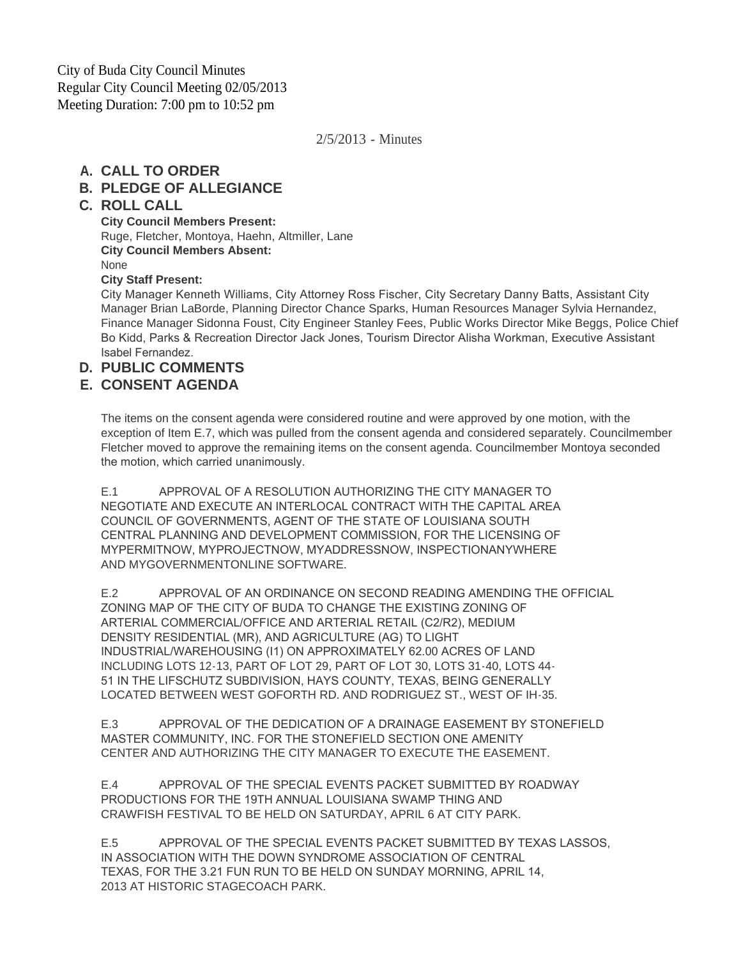City of Buda City Council Minutes Regular City Council Meeting 02/05/2013 Meeting Duration: 7:00 pm to 10:52 pm

2/5/2013 - Minutes

#### **CALL TO ORDER A.**

#### **PLEDGE OF ALLEGIANCE B.**

#### **ROLL CALL C.**

#### **City Council Members Present:**

Ruge, Fletcher, Montoya, Haehn, Altmiller, Lane **City Council Members Absent:** None

#### **City Staff Present:**

City Manager Kenneth Williams, City Attorney Ross Fischer, City Secretary Danny Batts, Assistant City Manager Brian LaBorde, Planning Director Chance Sparks, Human Resources Manager Sylvia Hernandez, Finance Manager Sidonna Foust, City Engineer Stanley Fees, Public Works Director Mike Beggs, Police Chief Bo Kidd, Parks & Recreation Director Jack Jones, Tourism Director Alisha Workman, Executive Assistant Isabel Fernandez.

## **PUBLIC COMMENTS D.**

#### **CONSENT AGENDA E.**

The items on the consent agenda were considered routine and were approved by one motion, with the exception of Item E.7, which was pulled from the consent agenda and considered separately. Councilmember Fletcher moved to approve the remaining items on the consent agenda. Councilmember Montoya seconded the motion, which carried unanimously.

E.1 APPROVAL OF A RESOLUTION AUTHORIZING THE CITY MANAGER TO NEGOTIATE AND EXECUTE AN INTERLOCAL CONTRACT WITH THE CAPITAL AREA COUNCIL OF GOVERNMENTS, AGENT OF THE STATE OF LOUISIANA SOUTH CENTRAL PLANNING AND DEVELOPMENT COMMISSION, FOR THE LICENSING OF MYPERMITNOW, MYPROJECTNOW, MYADDRESSNOW, INSPECTIONANYWHERE AND MYGOVERNMENTONLINE SOFTWARE.

E.2 APPROVAL OF AN ORDINANCE ON SECOND READING AMENDING THE OFFICIAL ZONING MAP OF THE CITY OF BUDA TO CHANGE THE EXISTING ZONING OF ARTERIAL COMMERCIAL/OFFICE AND ARTERIAL RETAIL (C2/R2), MEDIUM DENSITY RESIDENTIAL (MR), AND AGRICULTURE (AG) TO LIGHT INDUSTRIAL/WAREHOUSING (I1) ON APPROXIMATELY 62.00 ACRES OF LAND INCLUDING LOTS 12-13, PART OF LOT 29, PART OF LOT 30, LOTS 31-40, LOTS 44- 51 IN THE LIFSCHUTZ SUBDIVISION, HAYS COUNTY, TEXAS, BEING GENERALLY LOCATED BETWEEN WEST GOFORTH RD. AND RODRIGUEZ ST., WEST OF IH-35.

E.3 APPROVAL OF THE DEDICATION OF A DRAINAGE EASEMENT BY STONEFIELD MASTER COMMUNITY, INC. FOR THE STONEFIELD SECTION ONE AMENITY CENTER AND AUTHORIZING THE CITY MANAGER TO EXECUTE THE EASEMENT.

E.4 APPROVAL OF THE SPECIAL EVENTS PACKET SUBMITTED BY ROADWAY PRODUCTIONS FOR THE 19TH ANNUAL LOUISIANA SWAMP THING AND CRAWFISH FESTIVAL TO BE HELD ON SATURDAY, APRIL 6 AT CITY PARK.

E.5 APPROVAL OF THE SPECIAL EVENTS PACKET SUBMITTED BY TEXAS LASSOS, IN ASSOCIATION WITH THE DOWN SYNDROME ASSOCIATION OF CENTRAL TEXAS, FOR THE 3.21 FUN RUN TO BE HELD ON SUNDAY MORNING, APRIL 14, 2013 AT HISTORIC STAGECOACH PARK.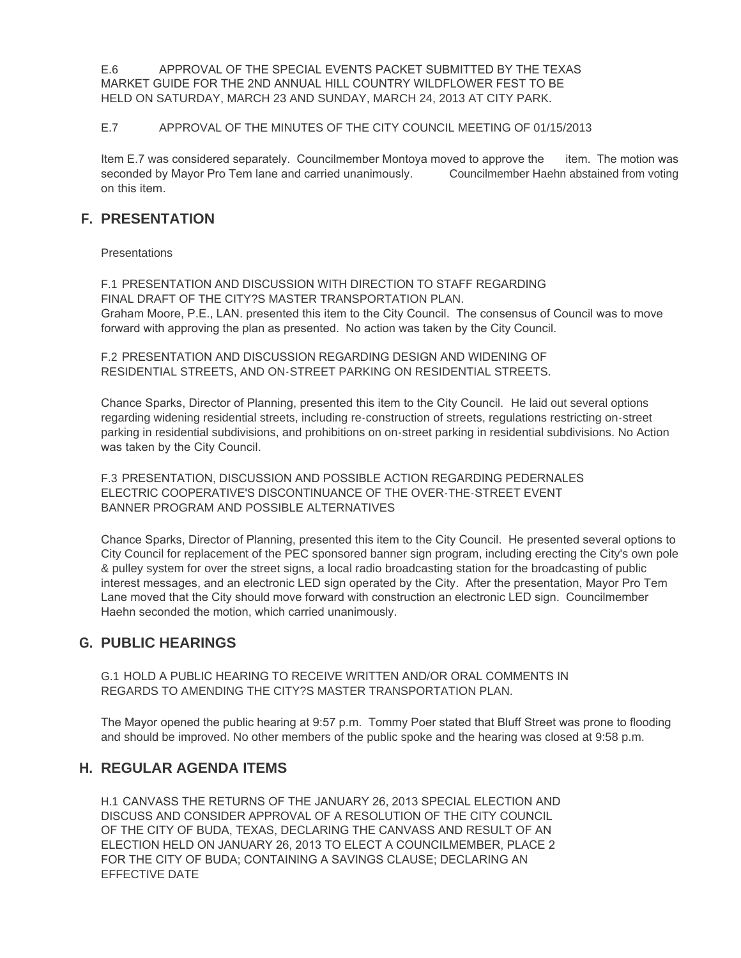E.6 APPROVAL OF THE SPECIAL EVENTS PACKET SUBMITTED BY THE TEXAS MARKET GUIDE FOR THE 2ND ANNUAL HILL COUNTRY WILDFLOWER FEST TO BE HELD ON SATURDAY, MARCH 23 AND SUNDAY, MARCH 24, 2013 AT CITY PARK.

#### E.7 APPROVAL OF THE MINUTES OF THE CITY COUNCIL MEETING OF 01/15/2013

Item E.7 was considered separately. Councilmember Montoya moved to approve the item. The motion was seconded by Mayor Pro Tem lane and carried unanimously. Councilmember Haehn abstained from voting on this item.

## **PRESENTATION F.**

**Presentations** 

F.1 PRESENTATION AND DISCUSSION WITH DIRECTION TO STAFF REGARDING FINAL DRAFT OF THE CITY?S MASTER TRANSPORTATION PLAN. Graham Moore, P.E., LAN. presented this item to the City Council. The consensus of Council was to move forward with approving the plan as presented. No action was taken by the City Council.

F.2 PRESENTATION AND DISCUSSION REGARDING DESIGN AND WIDENING OF RESIDENTIAL STREETS, AND ON-STREET PARKING ON RESIDENTIAL STREETS.

Chance Sparks, Director of Planning, presented this item to the City Council. He laid out several options regarding widening residential streets, including re-construction of streets, regulations restricting on-street parking in residential subdivisions, and prohibitions on on-street parking in residential subdivisions. No Action was taken by the City Council.

F.3 PRESENTATION, DISCUSSION AND POSSIBLE ACTION REGARDING PEDERNALES ELECTRIC COOPERATIVE'S DISCONTINUANCE OF THE OVER-THE-STREET EVENT BANNER PROGRAM AND POSSIBLE ALTERNATIVES

Chance Sparks, Director of Planning, presented this item to the City Council. He presented several options to City Council for replacement of the PEC sponsored banner sign program, including erecting the City's own pole & pulley system for over the street signs, a local radio broadcasting station for the broadcasting of public interest messages, and an electronic LED sign operated by the City. After the presentation, Mayor Pro Tem Lane moved that the City should move forward with construction an electronic LED sign. Councilmember Haehn seconded the motion, which carried unanimously.

## **PUBLIC HEARINGS G.**

G.1 HOLD A PUBLIC HEARING TO RECEIVE WRITTEN AND/OR ORAL COMMENTS IN REGARDS TO AMENDING THE CITY?S MASTER TRANSPORTATION PLAN.

The Mayor opened the public hearing at 9:57 p.m. Tommy Poer stated that Bluff Street was prone to flooding and should be improved. No other members of the public spoke and the hearing was closed at 9:58 p.m.

## **REGULAR AGENDA ITEMS H.**

H.1 CANVASS THE RETURNS OF THE JANUARY 26, 2013 SPECIAL ELECTION AND DISCUSS AND CONSIDER APPROVAL OF A RESOLUTION OF THE CITY COUNCIL OF THE CITY OF BUDA, TEXAS, DECLARING THE CANVASS AND RESULT OF AN ELECTION HELD ON JANUARY 26, 2013 TO ELECT A COUNCILMEMBER, PLACE 2 FOR THE CITY OF BUDA; CONTAINING A SAVINGS CLAUSE; DECLARING AN EFFECTIVE DATE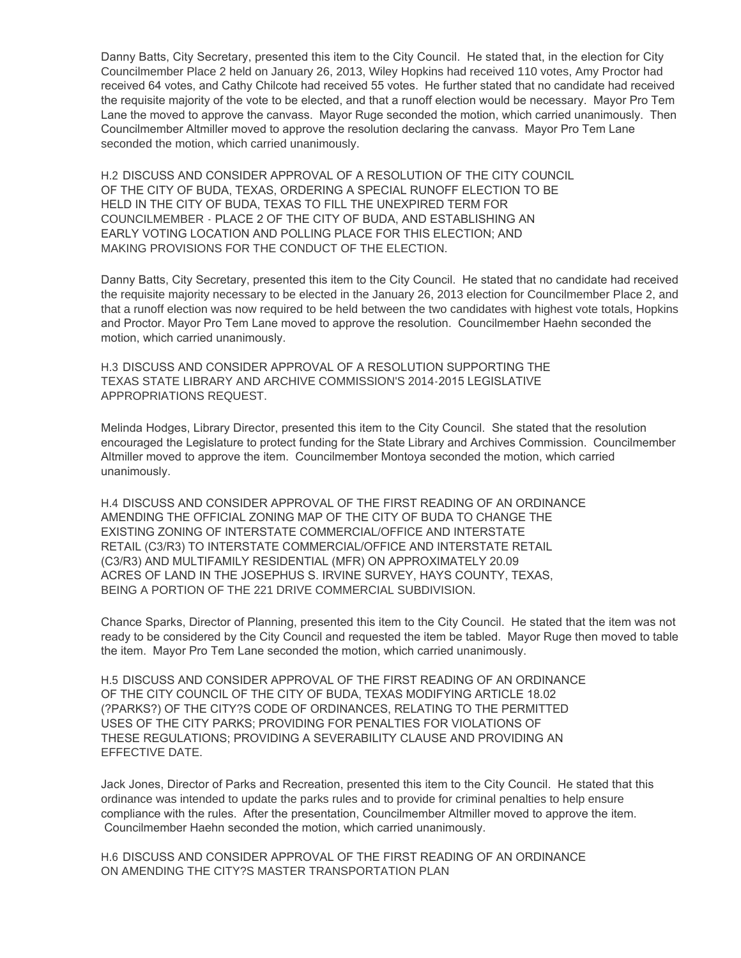Danny Batts, City Secretary, presented this item to the City Council. He stated that, in the election for City Councilmember Place 2 held on January 26, 2013, Wiley Hopkins had received 110 votes, Amy Proctor had received 64 votes, and Cathy Chilcote had received 55 votes. He further stated that no candidate had received the requisite majority of the vote to be elected, and that a runoff election would be necessary. Mayor Pro Tem Lane the moved to approve the canvass. Mayor Ruge seconded the motion, which carried unanimously. Then Councilmember Altmiller moved to approve the resolution declaring the canvass. Mayor Pro Tem Lane seconded the motion, which carried unanimously.

H.2 DISCUSS AND CONSIDER APPROVAL OF A RESOLUTION OF THE CITY COUNCIL OF THE CITY OF BUDA, TEXAS, ORDERING A SPECIAL RUNOFF ELECTION TO BE HELD IN THE CITY OF BUDA, TEXAS TO FILL THE UNEXPIRED TERM FOR COUNCILMEMBER - PLACE 2 OF THE CITY OF BUDA, AND ESTABLISHING AN EARLY VOTING LOCATION AND POLLING PLACE FOR THIS ELECTION; AND MAKING PROVISIONS FOR THE CONDUCT OF THE ELECTION.

Danny Batts, City Secretary, presented this item to the City Council. He stated that no candidate had received the requisite majority necessary to be elected in the January 26, 2013 election for Councilmember Place 2, and that a runoff election was now required to be held between the two candidates with highest vote totals, Hopkins and Proctor. Mayor Pro Tem Lane moved to approve the resolution. Councilmember Haehn seconded the motion, which carried unanimously.

H.3 DISCUSS AND CONSIDER APPROVAL OF A RESOLUTION SUPPORTING THE TEXAS STATE LIBRARY AND ARCHIVE COMMISSION'S 2014-2015 LEGISLATIVE APPROPRIATIONS REQUEST.

Melinda Hodges, Library Director, presented this item to the City Council. She stated that the resolution encouraged the Legislature to protect funding for the State Library and Archives Commission. Councilmember Altmiller moved to approve the item. Councilmember Montoya seconded the motion, which carried unanimously.

H.4 DISCUSS AND CONSIDER APPROVAL OF THE FIRST READING OF AN ORDINANCE AMENDING THE OFFICIAL ZONING MAP OF THE CITY OF BUDA TO CHANGE THE EXISTING ZONING OF INTERSTATE COMMERCIAL/OFFICE AND INTERSTATE RETAIL (C3/R3) TO INTERSTATE COMMERCIAL/OFFICE AND INTERSTATE RETAIL (C3/R3) AND MULTIFAMILY RESIDENTIAL (MFR) ON APPROXIMATELY 20.09 ACRES OF LAND IN THE JOSEPHUS S. IRVINE SURVEY, HAYS COUNTY, TEXAS, BEING A PORTION OF THE 221 DRIVE COMMERCIAL SUBDIVISION.

Chance Sparks, Director of Planning, presented this item to the City Council. He stated that the item was not ready to be considered by the City Council and requested the item be tabled. Mayor Ruge then moved to table the item. Mayor Pro Tem Lane seconded the motion, which carried unanimously.

H.5 DISCUSS AND CONSIDER APPROVAL OF THE FIRST READING OF AN ORDINANCE OF THE CITY COUNCIL OF THE CITY OF BUDA, TEXAS MODIFYING ARTICLE 18.02 (?PARKS?) OF THE CITY?S CODE OF ORDINANCES, RELATING TO THE PERMITTED USES OF THE CITY PARKS; PROVIDING FOR PENALTIES FOR VIOLATIONS OF THESE REGULATIONS; PROVIDING A SEVERABILITY CLAUSE AND PROVIDING AN EFFECTIVE DATE.

Jack Jones, Director of Parks and Recreation, presented this item to the City Council. He stated that this ordinance was intended to update the parks rules and to provide for criminal penalties to help ensure compliance with the rules. After the presentation, Councilmember Altmiller moved to approve the item. Councilmember Haehn seconded the motion, which carried unanimously.

H.6 DISCUSS AND CONSIDER APPROVAL OF THE FIRST READING OF AN ORDINANCE ON AMENDING THE CITY?S MASTER TRANSPORTATION PLAN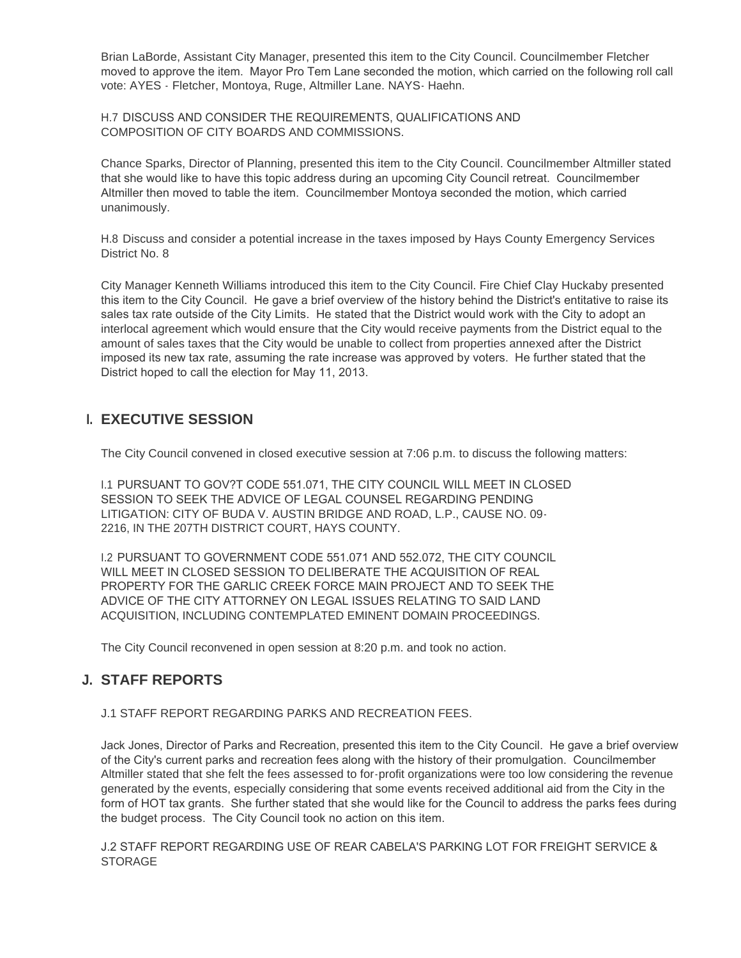Brian LaBorde, Assistant City Manager, presented this item to the City Council. Councilmember Fletcher moved to approve the item. Mayor Pro Tem Lane seconded the motion, which carried on the following roll call vote: AYES - Fletcher, Montoya, Ruge, Altmiller Lane. NAYS- Haehn.

H.7 DISCUSS AND CONSIDER THE REQUIREMENTS, QUALIFICATIONS AND COMPOSITION OF CITY BOARDS AND COMMISSIONS.

Chance Sparks, Director of Planning, presented this item to the City Council. Councilmember Altmiller stated that she would like to have this topic address during an upcoming City Council retreat. Councilmember Altmiller then moved to table the item. Councilmember Montoya seconded the motion, which carried unanimously.

H.8 Discuss and consider a potential increase in the taxes imposed by Hays County Emergency Services District No. 8

City Manager Kenneth Williams introduced this item to the City Council. Fire Chief Clay Huckaby presented this item to the City Council. He gave a brief overview of the history behind the District's entitative to raise its sales tax rate outside of the City Limits. He stated that the District would work with the City to adopt an interlocal agreement which would ensure that the City would receive payments from the District equal to the amount of sales taxes that the City would be unable to collect from properties annexed after the District imposed its new tax rate, assuming the rate increase was approved by voters. He further stated that the District hoped to call the election for May 11, 2013.

#### **EXECUTIVE SESSION I.**

The City Council convened in closed executive session at 7:06 p.m. to discuss the following matters:

I.1 PURSUANT TO GOV?T CODE 551.071, THE CITY COUNCIL WILL MEET IN CLOSED SESSION TO SEEK THE ADVICE OF LEGAL COUNSEL REGARDING PENDING LITIGATION: CITY OF BUDA V. AUSTIN BRIDGE AND ROAD, L.P., CAUSE NO. 09- 2216, IN THE 207TH DISTRICT COURT, HAYS COUNTY.

I.2 PURSUANT TO GOVERNMENT CODE 551.071 AND 552.072, THE CITY COUNCIL WILL MEET IN CLOSED SESSION TO DELIBERATE THE ACQUISITION OF REAL PROPERTY FOR THE GARLIC CREEK FORCE MAIN PROJECT AND TO SEEK THE ADVICE OF THE CITY ATTORNEY ON LEGAL ISSUES RELATING TO SAID LAND ACQUISITION, INCLUDING CONTEMPLATED EMINENT DOMAIN PROCEEDINGS.

The City Council reconvened in open session at 8:20 p.m. and took no action.

## **STAFF REPORTS J.**

#### J.1 STAFF REPORT REGARDING PARKS AND RECREATION FEES.

Jack Jones, Director of Parks and Recreation, presented this item to the City Council. He gave a brief overview of the City's current parks and recreation fees along with the history of their promulgation. Councilmember Altmiller stated that she felt the fees assessed to for-profit organizations were too low considering the revenue generated by the events, especially considering that some events received additional aid from the City in the form of HOT tax grants. She further stated that she would like for the Council to address the parks fees during the budget process. The City Council took no action on this item.

J.2 STAFF REPORT REGARDING USE OF REAR CABELA'S PARKING LOT FOR FREIGHT SERVICE & **STORAGE**